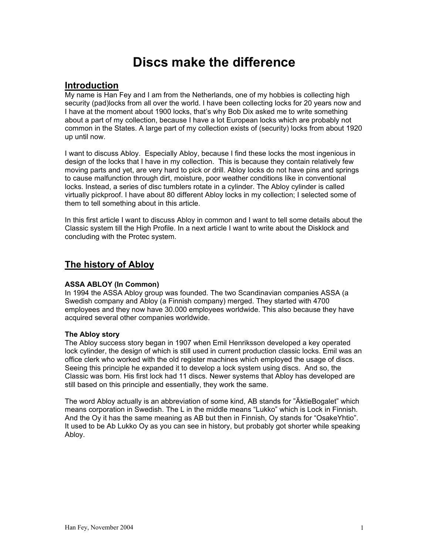# **Discs make the difference**

### **Introduction**

My name is Han Fey and I am from the Netherlands, one of my hobbies is collecting high security (pad)locks from all over the world. I have been collecting locks for 20 years now and I have at the moment about 1900 locks, that's why Bob Dix asked me to write something about a part of my collection, because I have a lot European locks which are probably not common in the States. A large part of my collection exists of (security) locks from about 1920 up until now.

I want to discuss Abloy. Especially Abloy, because I find these locks the most ingenious in design of the locks that I have in my collection. This is because they contain relatively few moving parts and yet, are very hard to pick or drill. Abloy locks do not have pins and springs to cause malfunction through dirt, moisture, poor weather conditions like in conventional locks. Instead, a series of disc tumblers rotate in a cylinder. The Abloy cylinder is called virtually pickproof. I have about 80 different Abloy locks in my collection; I selected some of them to tell something about in this article.

In this first article I want to discuss Abloy in common and I want to tell some details about the Classic system till the High Profile. In a next article I want to write about the Disklock and concluding with the Protec system.

### **The history of Abloy**

#### **ASSA ABLOY (In Common)**

In 1994 the ASSA Abloy group was founded. The two Scandinavian companies ASSA (a Swedish company and Abloy (a Finnish company) merged. They started with 4700 employees and they now have 30.000 employees worldwide. This also because they have acquired several other companies worldwide.

#### **The Abloy story**

The Abloy success story began in 1907 when Emil Henriksson developed a key operated lock cylinder, the design of which is still used in current production classic locks. Emil was an office clerk who worked with the old register machines which employed the usage of discs. Seeing this principle he expanded it to develop a lock system using discs. And so, the Classic was born. His first lock had 11 discs. Newer systems that Abloy has developed are still based on this principle and essentially, they work the same.

The word Abloy actually is an abbreviation of some kind, AB stands for "ÄktieBogalet" which means corporation in Swedish. The L in the middle means "Lukko" which is Lock in Finnish. And the Oy it has the same meaning as AB but then in Finnish, Oy stands for "OsakeYhtio". It used to be Ab Lukko Oy as you can see in history, but probably got shorter while speaking Abloy.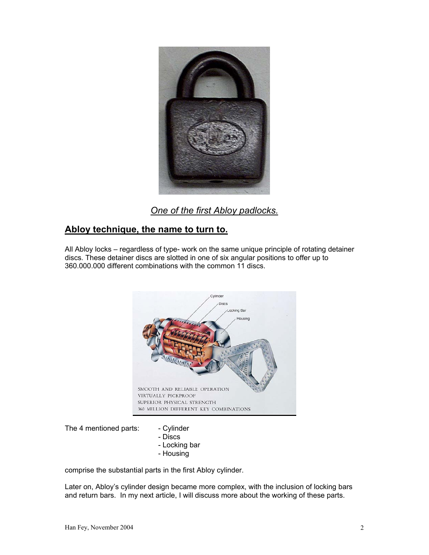

*One of the first Abloy padlocks.*

### **Abloy technique, the name to turn to.**

All Abloy locks – regardless of type- work on the same unique principle of rotating detainer discs. These detainer discs are slotted in one of six angular positions to offer up to 360.000.000 different combinations with the common 11 discs.



The 4 mentioned parts: - Cylinder

- 
- Discs
- Locking bar
- Housing

comprise the substantial parts in the first Abloy cylinder.

Later on, Abloy's cylinder design became more complex, with the inclusion of locking bars and return bars. In my next article, I will discuss more about the working of these parts.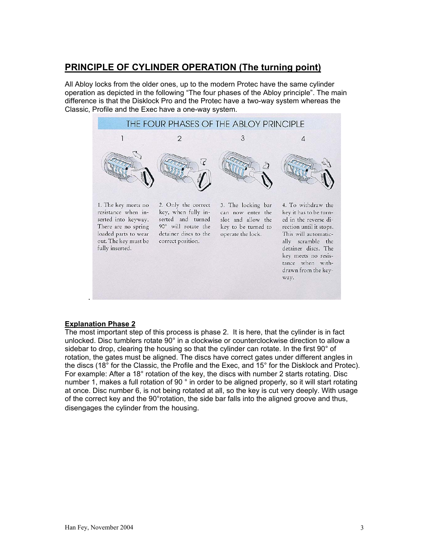# **PRINCIPLE OF CYLINDER OPERATION (The turning point)**

All Abloy locks from the older ones, up to the modern Protec have the same cylinder operation as depicted in the following "The four phases of the Abloy principle". The main difference is that the Disklock Pro and the Protec have a two-way system whereas the Classic, Profile and the Exec have a one-way system.



#### **Explanation Phase 2**

The most important step of this process is phase 2. It is here, that the cylinder is in fact unlocked. Disc tumblers rotate 90° in a clockwise or counterclockwise direction to allow a sidebar to drop, clearing the housing so that the cylinder can rotate. In the first 90° of rotation, the gates must be aligned. The discs have correct gates under different angles in the discs (18° for the Classic, the Profile and the Exec, and 15° for the Disklock and Protec). For example: After a 18° rotation of the key, the discs with number 2 starts rotating. Disc number 1, makes a full rotation of 90 ° in order to be aligned properly, so it will start rotating at once. Disc number 6, is not being rotated at all, so the key is cut very deeply. With usage of the correct key and the 90°rotation, the side bar falls into the aligned groove and thus, disengages the cylinder from the housing.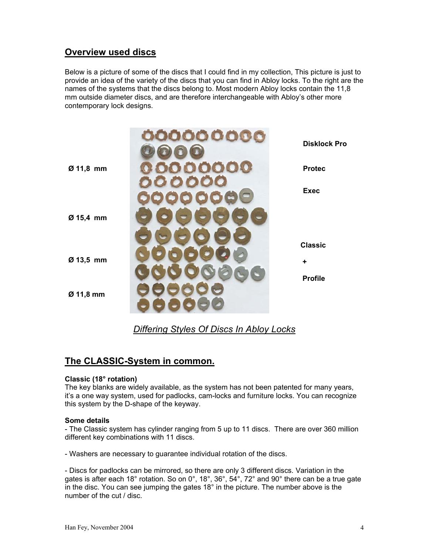# **Overview used discs**

Below is a picture of some of the discs that I could find in my collection, This picture is just to provide an idea of the variety of the discs that you can find in Abloy locks. To the right are the names of the systems that the discs belong to. Most modern Abloy locks contain the 11,8 mm outside diameter discs, and are therefore interchangeable with Abloy's other more contemporary lock designs.



*Differing Styles Of Discs In Abloy Locks*

### **The CLASSIC-System in common.**

#### **Classic (18° rotation)**

The key blanks are widely available, as the system has not been patented for many years, it's a one way system, used for padlocks, cam-locks and furniture locks. You can recognize this system by the D-shape of the keyway.

#### **Some details**

- The Classic system has cylinder ranging from 5 up to 11 discs. There are over 360 million different key combinations with 11 discs.

- Washers are necessary to guarantee individual rotation of the discs.

- Discs for padlocks can be mirrored, so there are only 3 different discs. Variation in the gates is after each 18° rotation. So on 0°, 18°, 36°, 54°, 72° and 90° there can be a true gate in the disc. You can see jumping the gates 18° in the picture. The number above is the number of the cut / disc.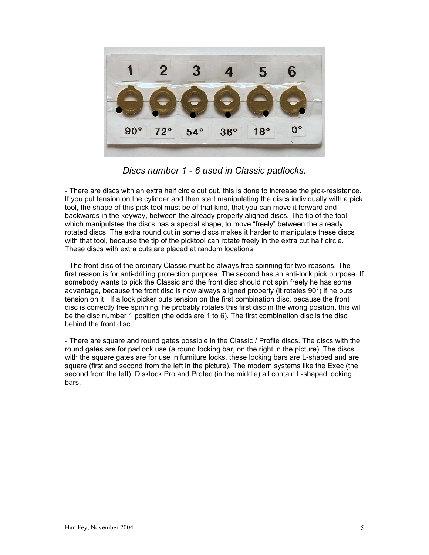

*Discs number 1 - 6 used in Classic padlocks.*

- There are discs with an extra half circle cut out, this is done to increase the pick-resistance. If you put tension on the cylinder and then start manipulating the discs individually with a pick tool, the shape of this pick tool must be of that kind, that you can move it forward and backwards in the keyway, between the already properly aligned discs. The tip of the tool which manipulates the discs has a special shape, to move "freely" between the already rotated discs. The extra round cut in some discs makes it harder to manipulate these discs with that tool, because the tip of the picktool can rotate freely in the extra cut half circle. These discs with extra cuts are placed at random locations.

- The front disc of the ordinary Classic must be always free spinning for two reasons. The first reason is for anti-drilling protection purpose. The second has an anti-lock pick purpose. If somebody wants to pick the Classic and the front disc should not spin freely he has some advantage, because the front disc is now always aligned properly (it rotates 90°) if he puts tension on it. If a lock picker puts tension on the first combination disc, because the front disc is correctly free spinning, he probably rotates this first disc in the wrong position, this will be the disc number 1 position (the odds are 1 to 6). The first combination disc is the disc behind the front disc.

- There are square and round gates possible in the Classic / Profile discs. The discs with the round gates are for padlock use (a round locking bar, on the right in the picture). The discs with the square gates are for use in furniture locks, these locking bars are L-shaped and are square (first and second from the left in the picture). The modern systems like the Exec (the second from the left), Disklock Pro and Protec (in the middle) all contain L-shaped locking bars.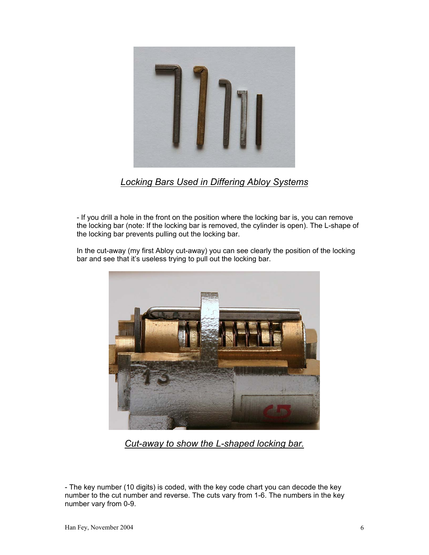

*Locking Bars Used in Differing Abloy Systems*

- If you drill a hole in the front on the position where the locking bar is, you can remove the locking bar (note: If the locking bar is removed, the cylinder is open). The L-shape of the locking bar prevents pulling out the locking bar.

In the cut-away (my first Abloy cut-away) you can see clearly the position of the locking bar and see that it's useless trying to pull out the locking bar.



*Cut-away to show the L-shaped locking bar.*

- The key number (10 digits) is coded, with the key code chart you can decode the key number to the cut number and reverse. The cuts vary from 1-6. The numbers in the key number vary from 0-9.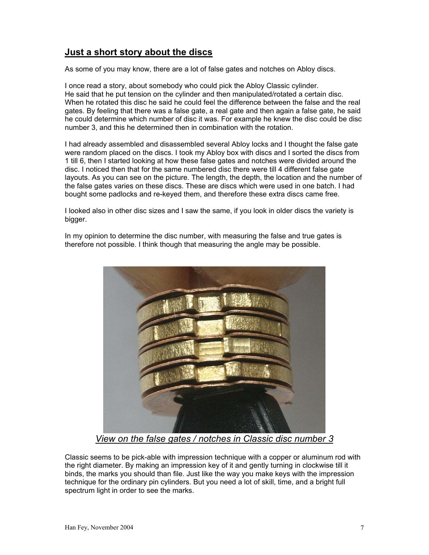# **Just a short story about the discs**

As some of you may know, there are a lot of false gates and notches on Abloy discs.

I once read a story, about somebody who could pick the Abloy Classic cylinder. He said that he put tension on the cylinder and then manipulated/rotated a certain disc. When he rotated this disc he said he could feel the difference between the false and the real gates. By feeling that there was a false gate, a real gate and then again a false gate, he said he could determine which number of disc it was. For example he knew the disc could be disc number 3, and this he determined then in combination with the rotation.

I had already assembled and disassembled several Abloy locks and I thought the false gate were random placed on the discs. I took my Abloy box with discs and I sorted the discs from 1 till 6, then I started looking at how these false gates and notches were divided around the disc. I noticed then that for the same numbered disc there were till 4 different false gate layouts. As you can see on the picture. The length, the depth, the location and the number of the false gates varies on these discs. These are discs which were used in one batch. I had bought some padlocks and re-keyed them, and therefore these extra discs came free.

I looked also in other disc sizes and I saw the same, if you look in older discs the variety is bigger.

In my opinion to determine the disc number, with measuring the false and true gates is therefore not possible. I think though that measuring the angle may be possible.



*View on the false gates / notches in Classic disc number 3*

Classic seems to be pick-able with impression technique with a copper or aluminum rod with the right diameter. By making an impression key of it and gently turning in clockwise till it binds, the marks you should than file. Just like the way you make keys with the impression technique for the ordinary pin cylinders. But you need a lot of skill, time, and a bright full spectrum light in order to see the marks.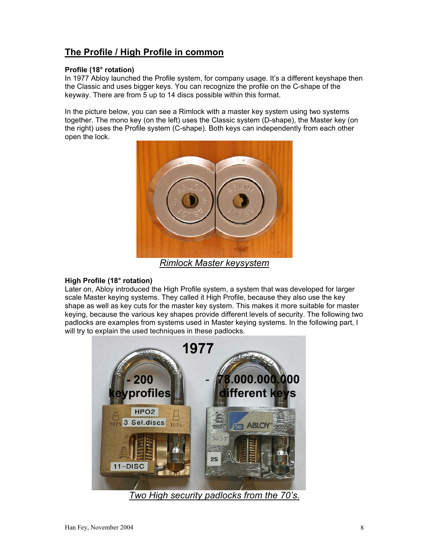# **The Profile / High Profile in common**

#### **Profile (18° rotation)**

In 1977 Abloy launched the Profile system, for company usage. It's a different keyshape then the Classic and uses bigger keys. You can recognize the profile on the C-shape of the keyway. There are from 5 up to 14 discs possible within this format.

In the picture below, you can see a Rimlock with a master key system using two systems together. The mono key (on the left) uses the Classic system (D-shape), the Master key (on the right) uses the Profile system (C-shape). Both keys can independently from each other open the lock.



*Rimlock Master keysystem*

#### **High Profile (18° rotation)**

Later on, Abloy introduced the High Profile system, a system that was developed for larger scale Master keying systems. They called it High Profile, because they also use the key shape as well as key cuts for the master key system. This makes it more suitable for master keying, because the various key shapes provide different levels of security. The following two padlocks are examples from systems used in Master keying systems. In the following part, I will try to explain the used techniques in these padlocks.



*Two High security padlocks from the 70's.*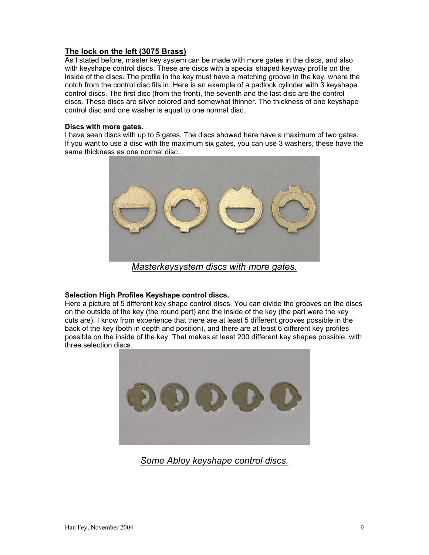#### **The lock on the left (3075 Brass)**

As I stated before, master key system can be made with more gates in the discs, and also with keyshape control discs. These are discs with a special shaped keyway profile on the inside of the discs. The profile in the key must have a matching groove in the key, where the notch from the control disc fits in. Here is an example of a padlock cylinder with 3 keyshape control discs. The first disc (from the front), the seventh and the last disc are the control discs. These discs are silver colored and somewhat thinner. The thickness of one keyshape control disc and one washer is equal to one normal disc.

#### **Discs with more gates.**

I have seen discs with up to 5 gates. The discs showed here have a maximum of two gates. If you want to use a disc with the maximum six gates, you can use 3 washers, these have the same thickness as one normal disc.



*Masterkeysystem discs with more gates.*

#### **Selection High Profiles Keyshape control discs.**

Here a picture of 5 different key shape control discs. You can divide the grooves on the discs on the outside of the key (the round part) and the inside of the key (the part were the key cuts are). I know from experience that there are at least 5 different grooves possible in the back of the key (both in depth and position), and there are at least 6 different key profiles possible on the inside of the key. That makes at least 200 different key shapes possible, with three selection discs.



*Some Abloy keyshape control discs.*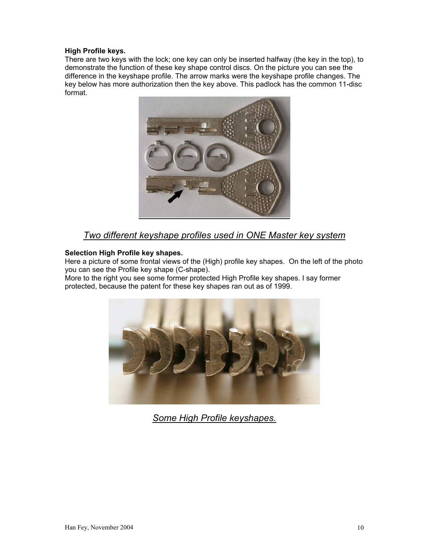#### **High Profile keys.**

There are two keys with the lock; one key can only be inserted halfway (the key in the top), to demonstrate the function of these key shape control discs. On the picture you can see the difference in the keyshape profile. The arrow marks were the keyshape profile changes. The key below has more authorization then the key above. This padlock has the common 11-disc format.



### *Two different keyshape profiles used in ONE Master key system*

#### **Selection High Profile key shapes.**

Here a picture of some frontal views of the (High) profile key shapes. On the left of the photo you can see the Profile key shape (C-shape).

More to the right you see some former protected High Profile key shapes. I say former protected, because the patent for these key shapes ran out as of 1999.



*Some High Profile keyshapes.*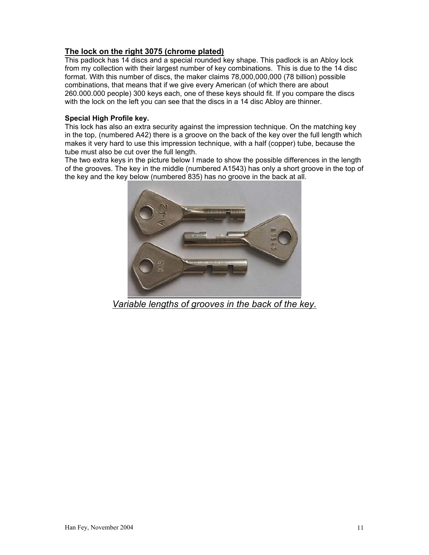### **The lock on the right 3075 (chrome plated)**

This padlock has 14 discs and a special rounded key shape. This padlock is an Abloy lock from my collection with their largest number of key combinations. This is due to the 14 disc format. With this number of discs, the maker claims 78,000,000,000 (78 billion) possible combinations, that means that if we give every American (of which there are about 260.000.000 people) 300 keys each, one of these keys should fit. If you compare the discs with the lock on the left you can see that the discs in a 14 disc Abloy are thinner.

#### **Special High Profile key.**

This lock has also an extra security against the impression technique. On the matching key in the top, (numbered A42) there is a groove on the back of the key over the full length which makes it very hard to use this impression technique, with a half (copper) tube, because the tube must also be cut over the full length.

The two extra keys in the picture below I made to show the possible differences in the length of the grooves. The key in the middle (numbered A1543) has only a short groove in the top of the key and the key below (numbered 835) has no groove in the back at all.



*Variable lengths of grooves in the back of the key.*